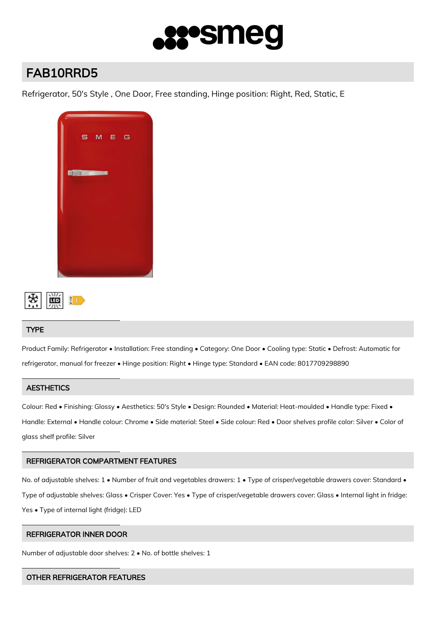

# FAB10RRD5

Refrigerator, 50's Style , One Door, Free standing, Hinge position: Right, Red, Static, E





# TYPE

Product Family: Refrigerator • Installation: Free standing • Category: One Door • Cooling type: Static • Defrost: Automatic for refrigerator, manual for freezer • Hinge position: Right • Hinge type: Standard • EAN code: 8017709298890

# **AESTHETICS**

Colour: Red • Finishing: Glossy • Aesthetics: 50's Style • Design: Rounded • Material: Heat-moulded • Handle type: Fixed • Handle: External • Handle colour: Chrome • Side material: Steel • Side colour: Red • Door shelves profile color: Silver • Color of glass shelf profile: Silver

# REFRIGERATOR COMPARTMENT FEATURES

No. of adjustable shelves: 1 • Number of fruit and vegetables drawers: 1 • Type of crisper/vegetable drawers cover: Standard • Type of adjustable shelves: Glass • Crisper Cover: Yes • Type of crisper/vegetable drawers cover: Glass • Internal light in fridge: Yes • Type of internal light (fridge): LED

# REFRIGERATOR INNER DOOR

Number of adjustable door shelves: 2 • No. of bottle shelves: 1

# OTHER REFRIGERATOR FEATURES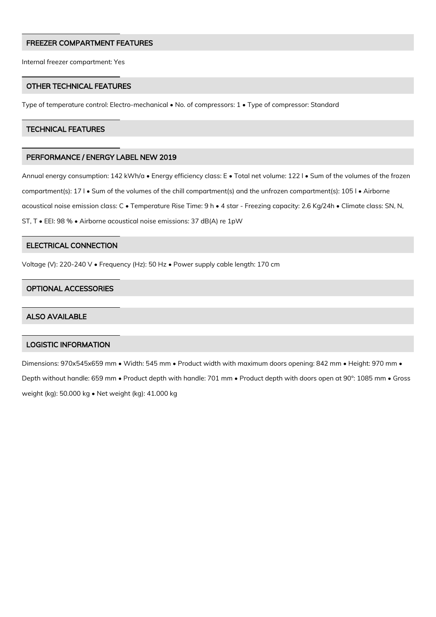#### FREEZER COMPARTMENT FEATURES

Internal freezer compartment: Yes

#### OTHER TECHNICAL FEATURES

Type of temperature control: Electro-mechanical • No. of compressors: 1 • Type of compressor: Standard

#### TECHNICAL FEATURES

#### PERFORMANCE / ENERGY LABEL NEW 2019

Annual energy consumption: 142 kWh/a • Energy efficiency class: E • Total net volume: 122 l • Sum of the volumes of the frozen compartment(s): 17 l • Sum of the volumes of the chill compartment(s) and the unfrozen compartment(s): 105 l • Airborne acoustical noise emission class: C • Temperature Rise Time: 9 h • 4 star - Freezing capacity: 2.6 Kg/24h • Climate class: SN, N, ST, T • EEI: 98 % • Airborne acoustical noise emissions: 37 dB(A) re 1pW

# ELECTRICAL CONNECTION

Voltage (V): 220-240 V • Frequency (Hz): 50 Hz • Power supply cable length: 170 cm

#### OPTIONAL ACCESSORIES

#### ALSO AVAILABLE

#### LOGISTIC INFORMATION

Dimensions: 970x545x659 mm • Width: 545 mm • Product width with maximum doors opening: 842 mm • Height: 970 mm • Depth without handle: 659 mm • Product depth with handle: 701 mm • Product depth with doors open at 90°: 1085 mm • Gross weight (kg): 50.000 kg • Net weight (kg): 41.000 kg